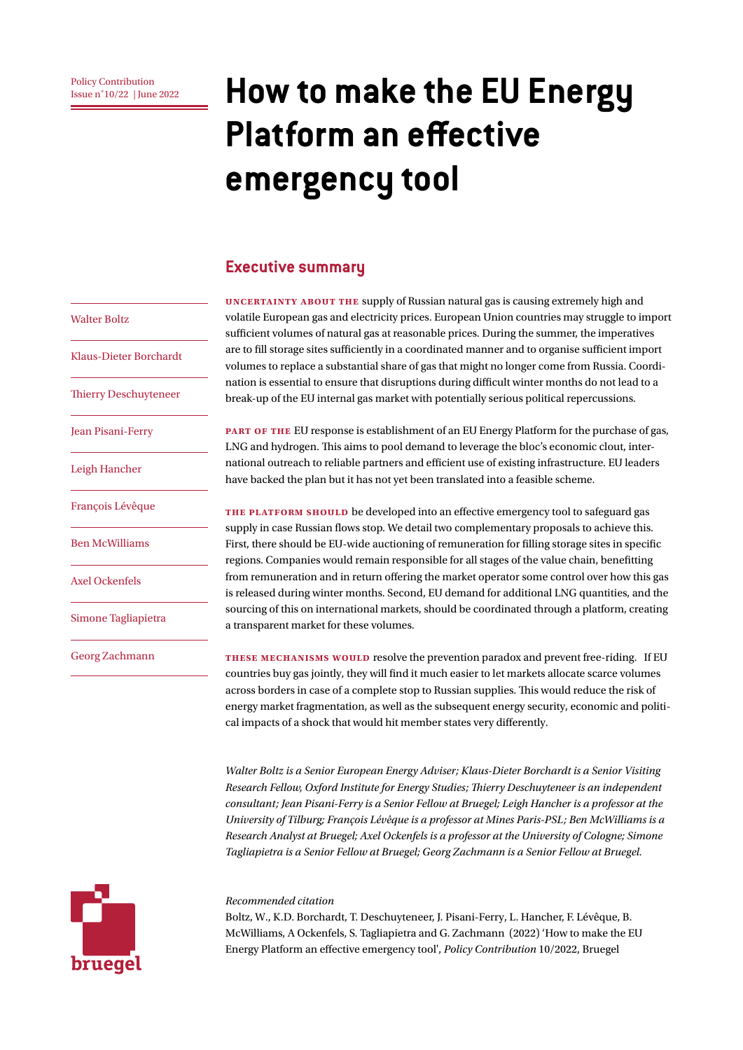# **ISSUE D'ONCE CONTIFICATE CONSET ON THE 2022 Home 2022 HOW to make the EU Energy Platform an effective emergency tool**

#### **Executive summary**

**Uncertainty about the** supply of Russian natural gas is causing extremely high and volatile European gas and electricity prices. European Union countries may struggle to import sufficient volumes of natural gas at reasonable prices. During the summer, the imperatives are to fill storage sites sufficiently in a coordinated manner and to organise sufficient import volumes to replace a substantial share of gas that might no longer come from Russia. Coordination is essential to ensure that disruptions during difficult winter months do not lead to a break-up of the EU internal gas market with potentially serious political repercussions.

**part of the** EU response is establishment of an EU Energy Platform for the purchase of gas, LNG and hydrogen. This aims to pool demand to leverage the bloc's economic clout, international outreach to reliable partners and efficient use of existing infrastructure. EU leaders have backed the plan but it has not yet been translated into a feasible scheme.

THE PLATFORM SHOULD be developed into an effective emergency tool to safeguard gas supply in case Russian flows stop. We detail two complementary proposals to achieve this. First, there should be EU-wide auctioning of remuneration for filling storage sites in specific regions. Companies would remain responsible for all stages of the value chain, benefitting from remuneration and in return offering the market operator some control over how this gas is released during winter months. Second, EU demand for additional LNG quantities, and the sourcing of this on international markets, should be coordinated through a platform, creating a transparent market for these volumes.

**These mechanisms would** resolve the prevention paradox and prevent free-riding. If EU countries buy gas jointly, they will find it much easier to let markets allocate scarce volumes across borders in case of a complete stop to Russian supplies. This would reduce the risk of energy market fragmentation, as well as the subsequent energy security, economic and political impacts of a shock that would hit member states very differently.

*Walter Boltz is a Senior European Energy Adviser; Klaus-Dieter Borchardt is a Senior Visiting Research Fellow, Oxford Institute for Energy Studies; Thierry Deschuyteneer is an independent consultant; Jean Pisani-Ferry is a Senior Fellow at Bruegel; Leigh Hancher is a professor at the University of Tilburg; François Lévêque is a professor at Mines Paris-PSL; Ben McWilliams is a Research Analyst at Bruegel; Axel Ockenfels is a professor at the University of Cologne; Simone Tagliapietra is a Senior Fellow at Bruegel; Georg Zachmann is a Senior Fellow at Bruegel.*

#### *Recommended citation*

Boltz, W., K.D. Borchardt, T. Deschuyteneer, J. Pisani-Ferry, L. Hancher, F. Lévêque, B. McWilliams, A Ockenfels, S. Tagliapietra and G. Zachmann (2022) 'How to make the EU Energy Platform an effective emergency tool', *Policy Contribution* 10/2022, Bruegel

#### Walter Boltz

Klaus-Dieter Borchardt

Thierry Deschuyteneer

Jean Pisani-Ferry

Leigh Hancher

François Lévêque

Ben McWilliams

Axel Ockenfels

Simone Tagliapietra

Georg Zachmann

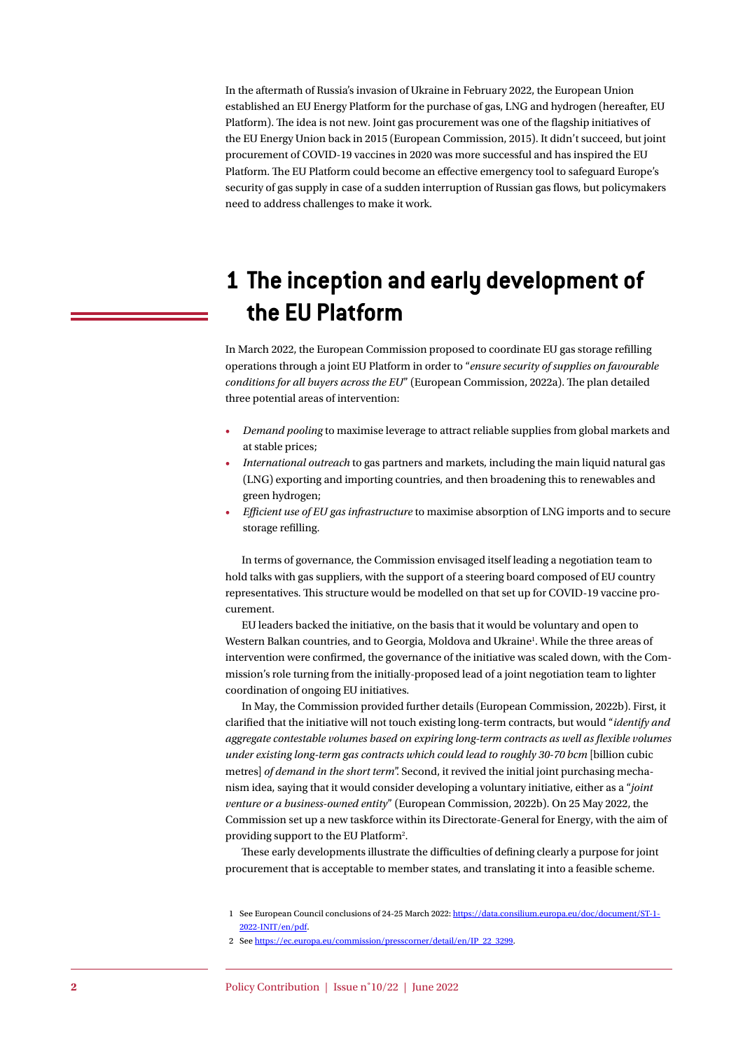In the aftermath of Russia's invasion of Ukraine in February 2022, the European Union established an EU Energy Platform for the purchase of gas, LNG and hydrogen (hereafter, EU Platform). The idea is not new. Joint gas procurement was one of the flagship initiatives of the EU Energy Union back in 2015 (European Commission, 2015). It didn't succeed, but joint procurement of COVID-19 vaccines in 2020 was more successful and has inspired the EU Platform. The EU Platform could become an effective emergency tool to safeguard Europe's security of gas supply in case of a sudden interruption of Russian gas flows, but policymakers need to address challenges to make it work.

# **1 The inception and early development of the EU Platform**

In March 2022, the European Commission proposed to coordinate EU gas storage refilling operations through a joint EU Platform in order to "*ensure security of supplies on favourable conditions for all buyers across the EU*" (European Commission, 2022a). The plan detailed three potential areas of intervention:

- *Demand pooling* to maximise leverage to attract reliable supplies from global markets and at stable prices;
- *International outreach* to gas partners and markets, including the main liquid natural gas (LNG) exporting and importing countries, and then broadening this to renewables and green hydrogen;
- *Efficient use of EU gas infrastructure* to maximise absorption of LNG imports and to secure storage refilling.

In terms of governance, the Commission envisaged itself leading a negotiation team to hold talks with gas suppliers, with the support of a steering board composed of EU country representatives. This structure would be modelled on that set up for COVID-19 vaccine procurement.

EU leaders backed the initiative, on the basis that it would be voluntary and open to Western Balkan countries, and to Georgia, Moldova and Ukraine<sup>1</sup>. While the three areas of intervention were confirmed, the governance of the initiative was scaled down, with the Commission's role turning from the initially-proposed lead of a joint negotiation team to lighter coordination of ongoing EU initiatives.

In May, the Commission provided further details (European Commission, 2022b). First, it clarified that the initiative will not touch existing long-term contracts, but would "*identify and aggregate contestable volumes based on expiring long-term contracts as well as flexible volumes under existing long-term gas contracts which could lead to roughly 30-70 bcm* [billion cubic metres] *of demand in the short term*". Second, it revived the initial joint purchasing mechanism idea, saying that it would consider developing a voluntary initiative, either as a "*joint venture or a business-owned entity*" (European Commission, 2022b). On 25 May 2022, the Commission set up a new taskforce within its Directorate-General for Energy, with the aim of providing support to the EU Platform<sup>2</sup>.

These early developments illustrate the difficulties of defining clearly a purpose for joint procurement that is acceptable to member states, and translating it into a feasible scheme.

2 See [https://ec.europa.eu/commission/presscorner/detail/en/IP\\_22\\_3299](https://ec.europa.eu/commission/presscorner/detail/en/IP_22_3299).

<sup>1</sup> See European Council conclusions of 24-25 March 2022: [https://data.consilium.europa.eu/doc/document/ST-1-](https://data.consilium.europa.eu/doc/document/ST-1-2022-INIT/en/pdf) [2022-INIT/en/pdf](https://data.consilium.europa.eu/doc/document/ST-1-2022-INIT/en/pdf).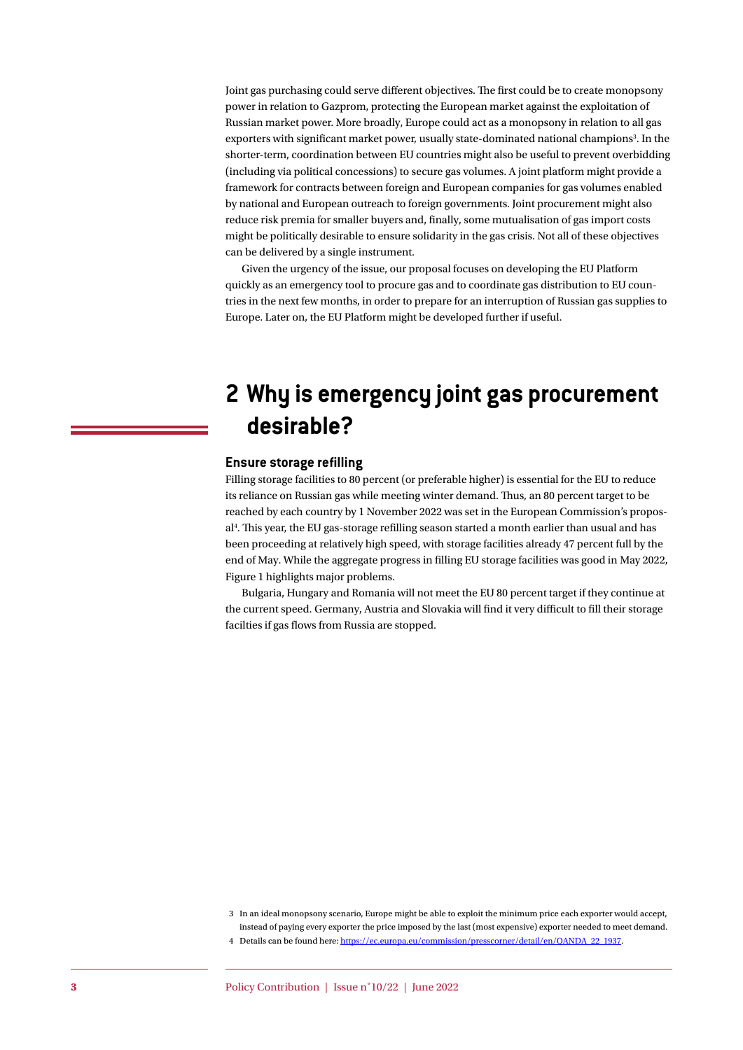Joint gas purchasing could serve different objectives. The first could be to create monopsony power in relation to Gazprom, protecting the European market against the exploitation of Russian market power. More broadly, Europe could act as a monopsony in relation to all gas exporters with significant market power, usually state-dominated national champions<sup>3</sup>. In the shorter-term, coordination between EU countries might also be useful to prevent overbidding (including via political concessions) to secure gas volumes. A joint platform might provide a framework for contracts between foreign and European companies for gas volumes enabled by national and European outreach to foreign governments. Joint procurement might also reduce risk premia for smaller buyers and, finally, some mutualisation of gas import costs might be politically desirable to ensure solidarity in the gas crisis. Not all of these objectives can be delivered by a single instrument.

Given the urgency of the issue, our proposal focuses on developing the EU Platform quickly as an emergency tool to procure gas and to coordinate gas distribution to EU countries in the next few months, in order to prepare for an interruption of Russian gas supplies to Europe. Later on, the EU Platform might be developed further if useful.

# **2 Why is emergency joint gas procurement desirable?**

#### **Ensure storage refilling**

Filling storage facilities to 80 percent (or preferable higher) is essential for the EU to reduce its reliance on Russian gas while meeting winter demand. Thus, an 80 percent target to be reached by each country by 1 November 2022 was set in the European Commission's proposal4 . This year, the EU gas-storage refilling season started a month earlier than usual and has been proceeding at relatively high speed, with storage facilities already 47 percent full by the end of May. While the aggregate progress in filling EU storage facilities was good in May 2022, Figure 1 highlights major problems.

Bulgaria, Hungary and Romania will not meet the EU 80 percent target if they continue at the current speed. Germany, Austria and Slovakia will find it very difficult to fill their storage facilties if gas flows from Russia are stopped.

<sup>3</sup> In an ideal monopsony scenario, Europe might be able to exploit the minimum price each exporter would accept, instead of paying every exporter the price imposed by the last (most expensive) exporter needed to meet demand.

<sup>4</sup> Details can be found here: [https://ec.europa.eu/commission/presscorner/detail/en/QANDA\\_22\\_1937](https://ec.europa.eu/commission/presscorner/detail/en/QANDA_22_1937).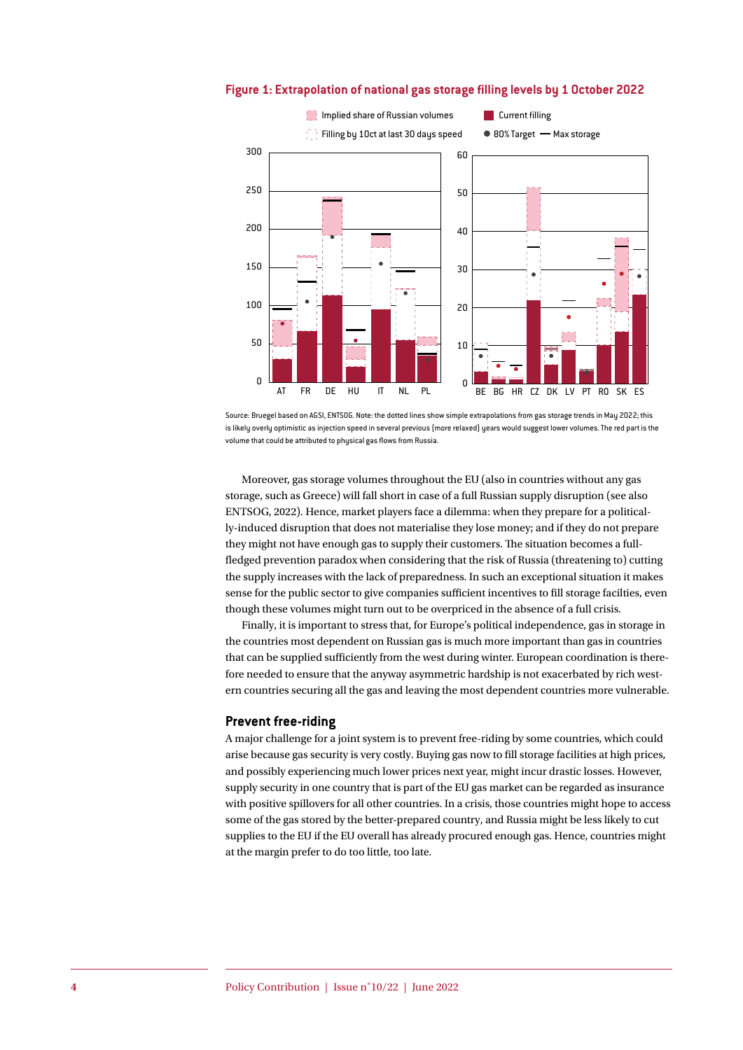

#### **Figure 1: Extrapolation of national gas storage filling levels by 1 October 2022**

Source: Bruegel based on AGSI, ENTSOG. Note: the dotted lines show simple extrapolations from gas storage trends in May 2022; this is likely overly optimistic as injection speed in several previous (more relaxed) years would suggest lower volumes. The red part is the volume that could be attributed to physical gas flows from Russia.

Moreover, gas storage volumes throughout the EU (also in countries without any gas storage, such as Greece) will fall short in case of a full Russian supply disruption (see also ENTSOG, 2022). Hence, market players face a dilemma: when they prepare for a politically-induced disruption that does not materialise they lose money; and if they do not prepare they might not have enough gas to supply their customers. The situation becomes a fullfledged prevention paradox when considering that the risk of Russia (threatening to) cutting the supply increases with the lack of preparedness. In such an exceptional situation it makes sense for the public sector to give companies sufficient incentives to fill storage facilties, even though these volumes might turn out to be overpriced in the absence of a full crisis.

Finally, it is important to stress that, for Europe's political independence, gas in storage in the countries most dependent on Russian gas is much more important than gas in countries that can be supplied sufficiently from the west during winter. European coordination is therefore needed to ensure that the anyway asymmetric hardship is not exacerbated by rich western countries securing all the gas and leaving the most dependent countries more vulnerable.

#### **Prevent free-riding**

A major challenge for a joint system is to prevent free-riding by some countries, which could arise because gas security is very costly. Buying gas now to fill storage facilities at high prices, and possibly experiencing much lower prices next year, might incur drastic losses. However, supply security in one country that is part of the EU gas market can be regarded as insurance with positive spillovers for all other countries. In a crisis, those countries might hope to access some of the gas stored by the better-prepared country, and Russia might be less likely to cut supplies to the EU if the EU overall has already procured enough gas. Hence, countries might at the margin prefer to do too little, too late.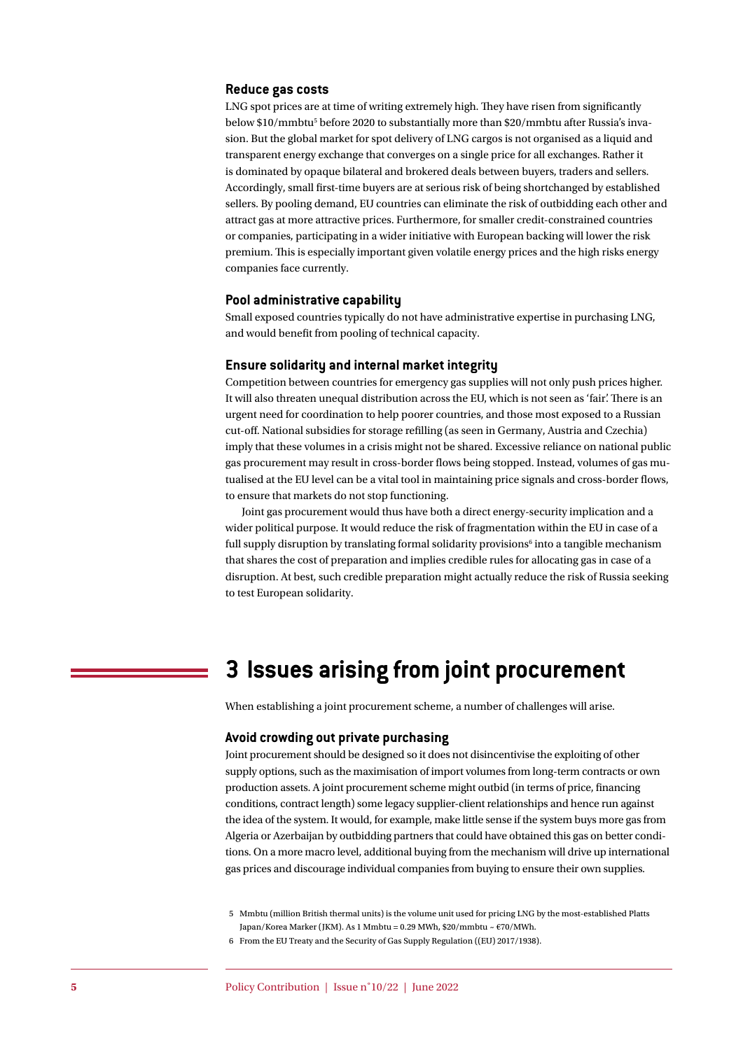#### **Reduce gas costs**

LNG spot prices are at time of writing extremely high. They have risen from significantly below \$10/mmbtu<sup>5</sup> before 2020 to substantially more than \$20/mmbtu after Russia's invasion. But the global market for spot delivery of LNG cargos is not organised as a liquid and transparent energy exchange that converges on a single price for all exchanges. Rather it is dominated by opaque bilateral and brokered deals between buyers, traders and sellers. Accordingly, small first-time buyers are at serious risk of being shortchanged by established sellers. By pooling demand, EU countries can eliminate the risk of outbidding each other and attract gas at more attractive prices. Furthermore, for smaller credit-constrained countries or companies, participating in a wider initiative with European backing will lower the risk premium. This is especially important given volatile energy prices and the high risks energy companies face currently.

#### **Pool administrative capability**

Small exposed countries typically do not have administrative expertise in purchasing LNG, and would benefit from pooling of technical capacity.

#### **Ensure solidarity and internal market integrity**

Competition between countries for emergency gas supplies will not only push prices higher. It will also threaten unequal distribution across the EU, which is not seen as 'fair'. There is an urgent need for coordination to help poorer countries, and those most exposed to a Russian cut-off. National subsidies for storage refilling (as seen in Germany, Austria and Czechia) imply that these volumes in a crisis might not be shared. Excessive reliance on national public gas procurement may result in cross-border flows being stopped. Instead, volumes of gas mutualised at the EU level can be a vital tool in maintaining price signals and cross-border flows, to ensure that markets do not stop functioning.

Joint gas procurement would thus have both a direct energy-security implication and a wider political purpose. It would reduce the risk of fragmentation within the EU in case of a full supply disruption by translating formal solidarity provisions<sup>6</sup> into a tangible mechanism that shares the cost of preparation and implies credible rules for allocating gas in case of a disruption. At best, such credible preparation might actually reduce the risk of Russia seeking to test European solidarity.

## **3 Issues arising from joint procurement**

When establishing a joint procurement scheme, a number of challenges will arise.

#### **Avoid crowding out private purchasing**

Joint procurement should be designed so it does not disincentivise the exploiting of other supply options, such as the maximisation of import volumes from long-term contracts or own production assets. A joint procurement scheme might outbid (in terms of price, financing conditions, contract length) some legacy supplier-client relationships and hence run against the idea of the system. It would, for example, make little sense if the system buys more gas from Algeria or Azerbaijan by outbidding partners that could have obtained this gas on better conditions. On a more macro level, additional buying from the mechanism will drive up international gas prices and discourage individual companies from buying to ensure their own supplies.

<sup>5</sup> Mmbtu (million British thermal units) is the volume unit used for pricing LNG by the most-established Platts Japan/Korea Marker (JKM). As 1 Mmbtu = 0.29 MWh, \$20/mmbtu ~ €70/MWh.

<sup>6</sup> From the EU Treaty and the Security of Gas Supply Regulation ((EU) 2017/1938).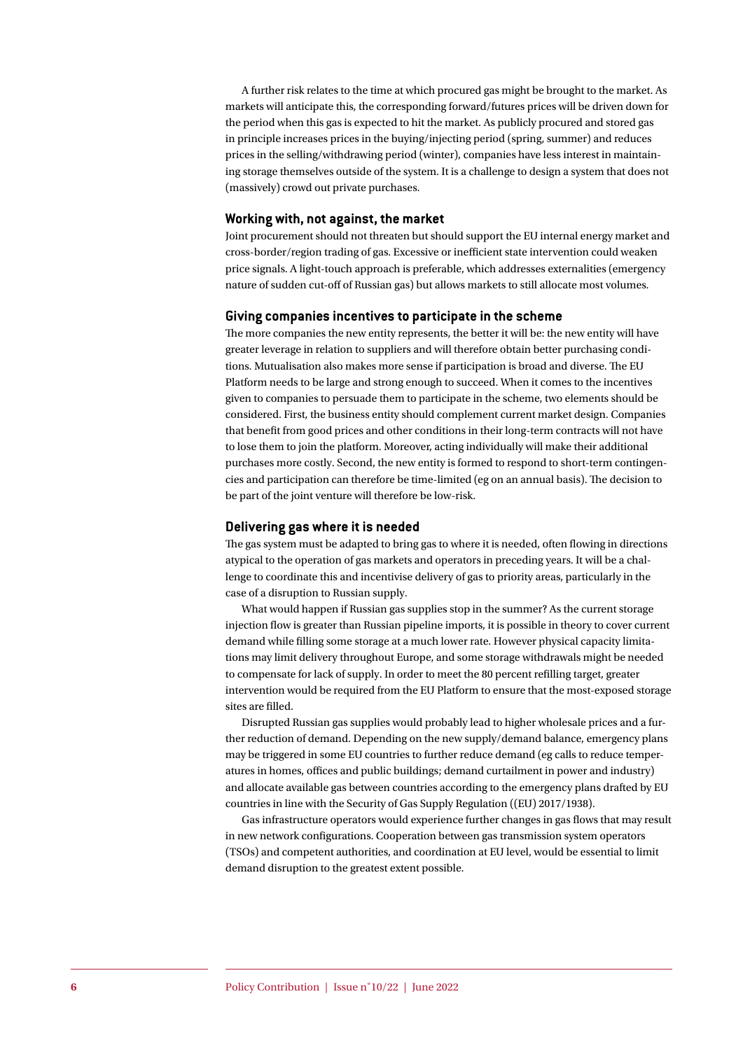A further risk relates to the time at which procured gas might be brought to the market. As markets will anticipate this, the corresponding forward/futures prices will be driven down for the period when this gas is expected to hit the market. As publicly procured and stored gas in principle increases prices in the buying/injecting period (spring, summer) and reduces prices in the selling/withdrawing period (winter), companies have less interest in maintaining storage themselves outside of the system. It is a challenge to design a system that does not (massively) crowd out private purchases.

#### **Working with, not against, the market**

Joint procurement should not threaten but should support the EU internal energy market and cross-border/region trading of gas. Excessive or inefficient state intervention could weaken price signals. A light-touch approach is preferable, which addresses externalities (emergency nature of sudden cut-off of Russian gas) but allows markets to still allocate most volumes.

#### **Giving companies incentives to participate in the scheme**

The more companies the new entity represents, the better it will be: the new entity will have greater leverage in relation to suppliers and will therefore obtain better purchasing conditions. Mutualisation also makes more sense if participation is broad and diverse. The EU Platform needs to be large and strong enough to succeed. When it comes to the incentives given to companies to persuade them to participate in the scheme, two elements should be considered. First, the business entity should complement current market design. Companies that benefit from good prices and other conditions in their long-term contracts will not have to lose them to join the platform. Moreover, acting individually will make their additional purchases more costly. Second, the new entity is formed to respond to short-term contingencies and participation can therefore be time-limited (eg on an annual basis). The decision to be part of the joint venture will therefore be low-risk.

#### **Delivering gas where it is needed**

The gas system must be adapted to bring gas to where it is needed, often flowing in directions atypical to the operation of gas markets and operators in preceding years. It will be a challenge to coordinate this and incentivise delivery of gas to priority areas, particularly in the case of a disruption to Russian supply.

What would happen if Russian gas supplies stop in the summer? As the current storage injection flow is greater than Russian pipeline imports, it is possible in theory to cover current demand while filling some storage at a much lower rate. However physical capacity limitations may limit delivery throughout Europe, and some storage withdrawals might be needed to compensate for lack of supply. In order to meet the 80 percent refilling target, greater intervention would be required from the EU Platform to ensure that the most-exposed storage sites are filled.

Disrupted Russian gas supplies would probably lead to higher wholesale prices and a further reduction of demand. Depending on the new supply/demand balance, emergency plans may be triggered in some EU countries to further reduce demand (eg calls to reduce temperatures in homes, offices and public buildings; demand curtailment in power and industry) and allocate available gas between countries according to the emergency plans drafted by EU countries in line with the Security of Gas Supply Regulation ((EU) 2017/1938).

Gas infrastructure operators would experience further changes in gas flows that may result in new network configurations. Cooperation between gas transmission system operators (TSOs) and competent authorities, and coordination at EU level, would be essential to limit demand disruption to the greatest extent possible.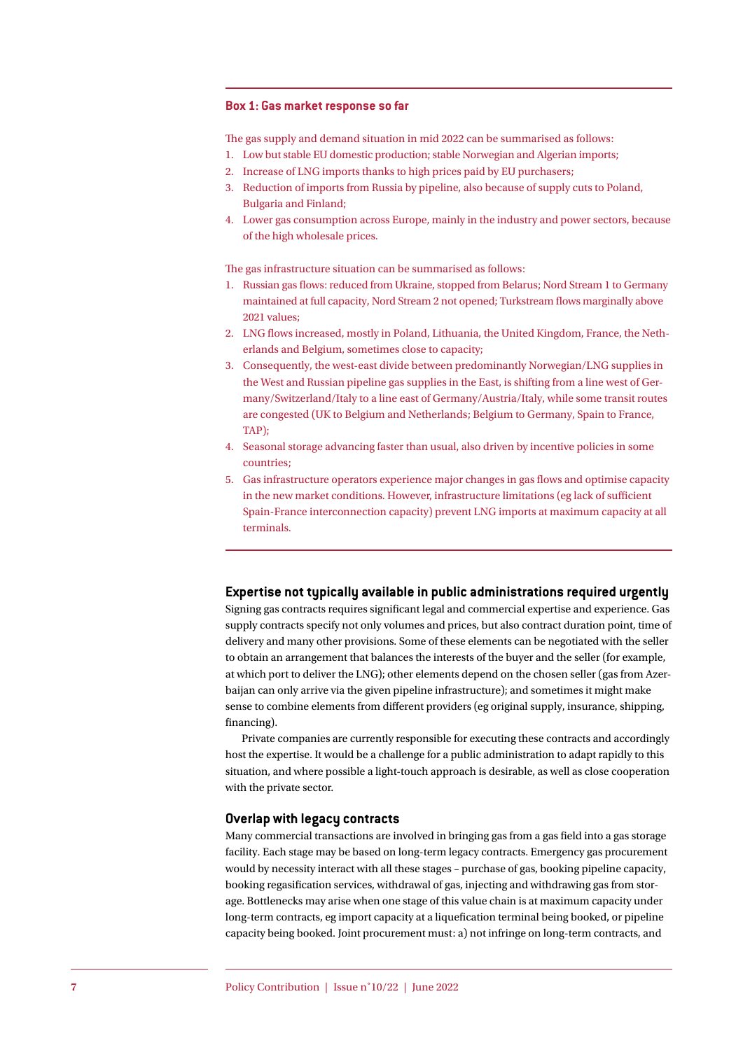#### **Box 1: Gas market response so far**

The gas supply and demand situation in mid 2022 can be summarised as follows:

- 1. Low but stable EU domestic production; stable Norwegian and Algerian imports;
- 2. Increase of LNG imports thanks to high prices paid by EU purchasers;
- 3. Reduction of imports from Russia by pipeline, also because of supply cuts to Poland, Bulgaria and Finland;
- 4. Lower gas consumption across Europe, mainly in the industry and power sectors, because of the high wholesale prices.

The gas infrastructure situation can be summarised as follows:

- 1. Russian gas flows: reduced from Ukraine, stopped from Belarus; Nord Stream 1 to Germany maintained at full capacity, Nord Stream 2 not opened; Turkstream flows marginally above 2021 values;
- 2. LNG flows increased, mostly in Poland, Lithuania, the United Kingdom, France, the Netherlands and Belgium, sometimes close to capacity;
- 3. Consequently, the west-east divide between predominantly Norwegian/LNG supplies in the West and Russian pipeline gas supplies in the East, is shifting from a line west of Germany/Switzerland/Italy to a line east of Germany/Austria/Italy, while some transit routes are congested (UK to Belgium and Netherlands; Belgium to Germany, Spain to France, TAP);
- 4. Seasonal storage advancing faster than usual, also driven by incentive policies in some countries;
- 5. Gas infrastructure operators experience major changes in gas flows and optimise capacity in the new market conditions. However, infrastructure limitations (eg lack of sufficient Spain-France interconnection capacity) prevent LNG imports at maximum capacity at all terminals.

#### **Expertise not typically available in public administrations required urgently**

Signing gas contracts requires significant legal and commercial expertise and experience. Gas supply contracts specify not only volumes and prices, but also contract duration point, time of delivery and many other provisions. Some of these elements can be negotiated with the seller to obtain an arrangement that balances the interests of the buyer and the seller (for example, at which port to deliver the LNG); other elements depend on the chosen seller (gas from Azerbaijan can only arrive via the given pipeline infrastructure); and sometimes it might make sense to combine elements from different providers (eg original supply, insurance, shipping, financing).

Private companies are currently responsible for executing these contracts and accordingly host the expertise. It would be a challenge for a public administration to adapt rapidly to this situation, and where possible a light-touch approach is desirable, as well as close cooperation with the private sector.

#### **Overlap with legacy contracts**

Many commercial transactions are involved in bringing gas from a gas field into a gas storage facility. Each stage may be based on long-term legacy contracts. Emergency gas procurement would by necessity interact with all these stages – purchase of gas, booking pipeline capacity, booking regasification services, withdrawal of gas, injecting and withdrawing gas from storage. Bottlenecks may arise when one stage of this value chain is at maximum capacity under long-term contracts, eg import capacity at a liquefication terminal being booked, or pipeline capacity being booked. Joint procurement must: a) not infringe on long-term contracts, and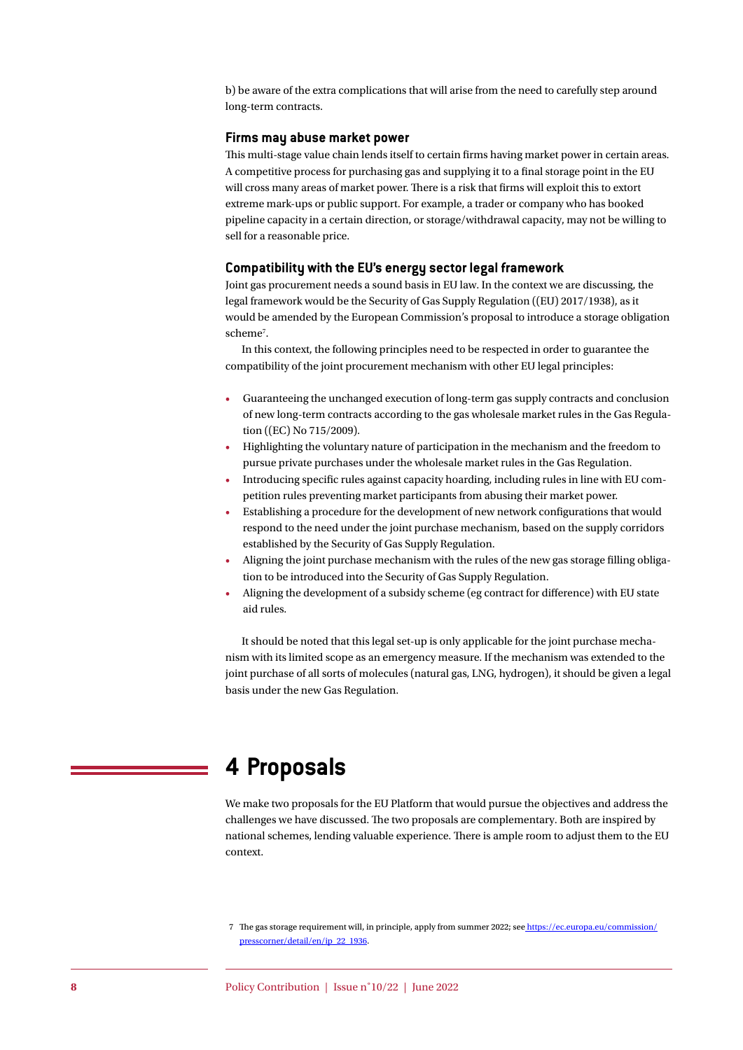b) be aware of the extra complications that will arise from the need to carefully step around long-term contracts.

#### **Firms may abuse market power**

This multi-stage value chain lends itself to certain firms having market power in certain areas. A competitive process for purchasing gas and supplying it to a final storage point in the EU will cross many areas of market power. There is a risk that firms will exploit this to extort extreme mark-ups or public support. For example, a trader or company who has booked pipeline capacity in a certain direction, or storage/withdrawal capacity, may not be willing to sell for a reasonable price.

#### **Compatibility with the EU's energy sector legal framework**

Joint gas procurement needs a sound basis in EU law. In the context we are discussing, the legal framework would be the Security of Gas Supply Regulation ((EU) 2017/1938), as it would be amended by the European Commission's proposal to introduce a storage obligation scheme<sup>7</sup>.

In this context, the following principles need to be respected in order to guarantee the compatibility of the joint procurement mechanism with other EU legal principles:

- Guaranteeing the unchanged execution of long-term gas supply contracts and conclusion of new long-term contracts according to the gas wholesale market rules in the Gas Regulation ((EC) No 715/2009).
- Highlighting the voluntary nature of participation in the mechanism and the freedom to pursue private purchases under the wholesale market rules in the Gas Regulation.
- Introducing specific rules against capacity hoarding, including rules in line with EU competition rules preventing market participants from abusing their market power.
- Establishing a procedure for the development of new network configurations that would respond to the need under the joint purchase mechanism, based on the supply corridors established by the Security of Gas Supply Regulation.
- Aligning the joint purchase mechanism with the rules of the new gas storage filling obligation to be introduced into the Security of Gas Supply Regulation.
- Aligning the development of a subsidy scheme (eg contract for difference) with EU state aid rules.

It should be noted that this legal set-up is only applicable for the joint purchase mechanism with its limited scope as an emergency measure. If the mechanism was extended to the joint purchase of all sorts of molecules (natural gas, LNG, hydrogen), it should be given a legal basis under the new Gas Regulation.

## **4 Proposals**

We make two proposals for the EU Platform that would pursue the objectives and address the challenges we have discussed. The two proposals are complementary. Both are inspired by national schemes, lending valuable experience. There is ample room to adjust them to the EU context.

<sup>7</sup> The gas storage requirement will, in principle, apply from summer 2022; see [https://ec.europa.eu/commission/]( https://ec.europa.eu/commission/presscorner/detail/en/ip_22_1936) [presscorner/detail/en/ip\\_22\\_1936]( https://ec.europa.eu/commission/presscorner/detail/en/ip_22_1936).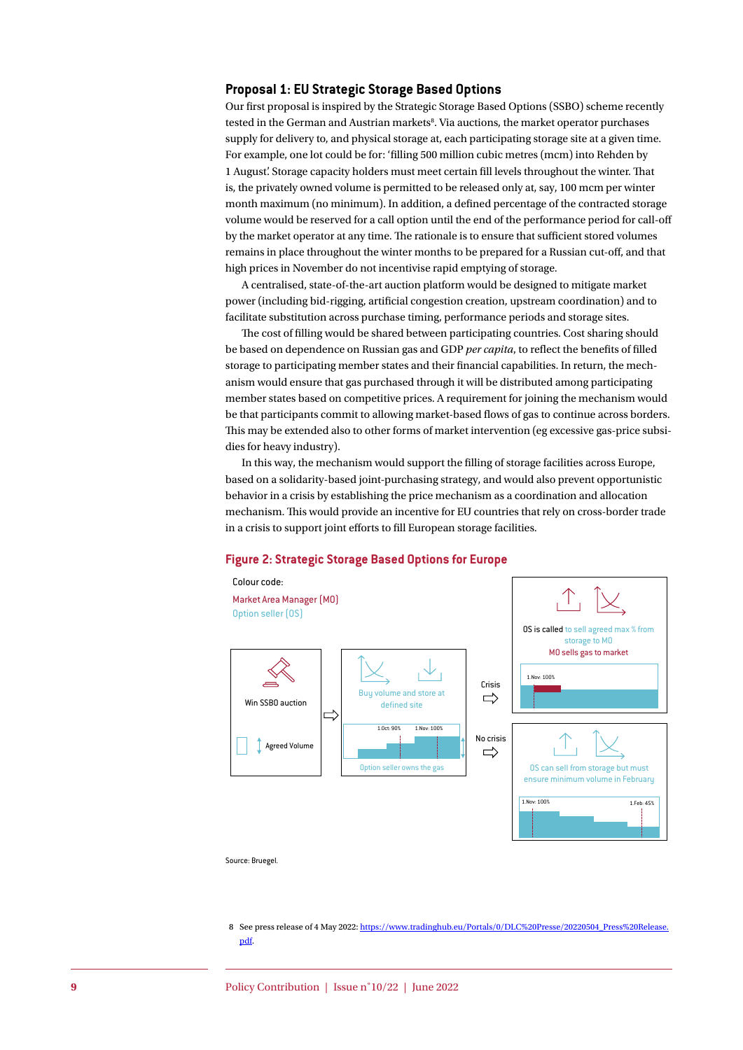#### **Proposal 1: EU Strategic Storage Based Options**

Our first proposal is inspired by the Strategic Storage Based Options (SSBO) scheme recently tested in the German and Austrian markets<sup>8</sup>. Via auctions, the market operator purchases supply for delivery to, and physical storage at, each participating storage site at a given time. For example, one lot could be for: 'filling 500 million cubic metres (mcm) into Rehden by 1 August'. Storage capacity holders must meet certain fill levels throughout the winter. That is, the privately owned volume is permitted to be released only at, say, 100 mcm per winter month maximum (no minimum). In addition, a defined percentage of the contracted storage volume would be reserved for a call option until the end of the performance period for call-off by the market operator at any time. The rationale is to ensure that sufficient stored volumes remains in place throughout the winter months to be prepared for a Russian cut-off, and that high prices in November do not incentivise rapid emptying of storage.

A centralised, state-of-the-art auction platform would be designed to mitigate market power (including bid-rigging, artificial congestion creation, upstream coordination) and to facilitate substitution across purchase timing, performance periods and storage sites.

The cost of filling would be shared between participating countries. Cost sharing should be based on dependence on Russian gas and GDP *per capita*, to reflect the benefits of filled storage to participating member states and their financial capabilities. In return, the mechanism would ensure that gas purchased through it will be distributed among participating member states based on competitive prices. A requirement for joining the mechanism would be that participants commit to allowing market-based flows of gas to continue across borders. This may be extended also to other forms of market intervention (eg excessive gas-price subsidies for heavy industry).

In this way, the mechanism would support the filling of storage facilities across Europe, based on a solidarity-based joint-purchasing strategy, and would also prevent opportunistic behavior in a crisis by establishing the price mechanism as a coordination and allocation mechanism. This would provide an incentive for EU countries that rely on cross-border trade in a crisis to support joint efforts to fill European storage facilities.

#### **Figure 2: Strategic Storage Based Options for Europe**



8 See press release of 4 May 2022: [https://www.tradinghub.eu/Portals/0/DLC%20Presse/20220504\\_Press%20Release.](https://www.tradinghub.eu/Portals/0/DLC%20Presse/20220504_Press%20Release.pdf) [pdf](https://www.tradinghub.eu/Portals/0/DLC%20Presse/20220504_Press%20Release.pdf).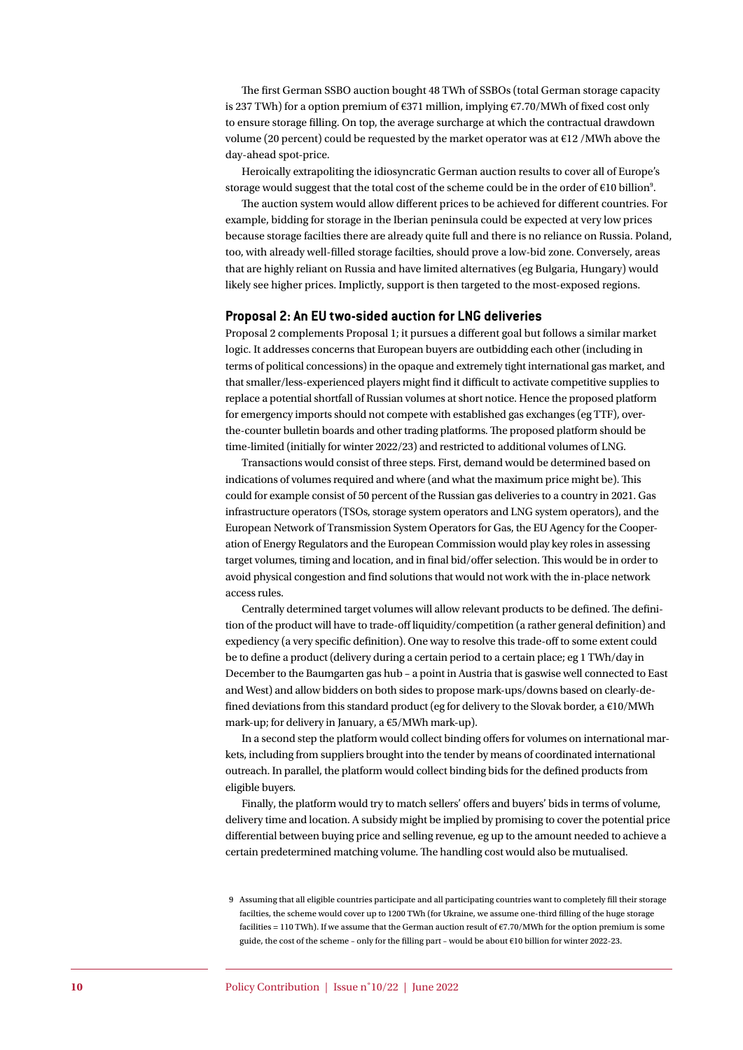The first German SSBO auction bought 48 TWh of SSBOs (total German storage capacity is 237 TWh) for a option premium of €371 million, implying €7.70/MWh of fixed cost only to ensure storage filling. On top, the average surcharge at which the contractual drawdown volume (20 percent) could be requested by the market operator was at €12 /MWh above the day-ahead spot-price.

Heroically extrapoliting the idiosyncratic German auction results to cover all of Europe's storage would suggest that the total cost of the scheme could be in the order of €10 billion<sup>9</sup>.

The auction system would allow different prices to be achieved for different countries. For example, bidding for storage in the Iberian peninsula could be expected at very low prices because storage facilties there are already quite full and there is no reliance on Russia. Poland, too, with already well-filled storage facilties, should prove a low-bid zone. Conversely, areas that are highly reliant on Russia and have limited alternatives (eg Bulgaria, Hungary) would likely see higher prices. Implictly, support is then targeted to the most-exposed regions.

#### **Proposal 2: An EU two-sided auction for LNG deliveries**

Proposal 2 complements Proposal 1; it pursues a different goal but follows a similar market logic. It addresses concerns that European buyers are outbidding each other (including in terms of political concessions) in the opaque and extremely tight international gas market, and that smaller/less-experienced players might find it difficult to activate competitive supplies to replace a potential shortfall of Russian volumes at short notice. Hence the proposed platform for emergency imports should not compete with established gas exchanges (eg TTF), overthe-counter bulletin boards and other trading platforms. The proposed platform should be time-limited (initially for winter 2022/23) and restricted to additional volumes of LNG.

Transactions would consist of three steps. First, demand would be determined based on indications of volumes required and where (and what the maximum price might be). This could for example consist of 50 percent of the Russian gas deliveries to a country in 2021. Gas infrastructure operators (TSOs, storage system operators and LNG system operators), and the European Network of Transmission System Operators for Gas, the EU Agency for the Cooperation of Energy Regulators and the European Commission would play key roles in assessing target volumes, timing and location, and in final bid/offer selection. This would be in order to avoid physical congestion and find solutions that would not work with the in-place network access rules.

Centrally determined target volumes will allow relevant products to be defined. The definition of the product will have to trade-off liquidity/competition (a rather general definition) and expediency (a very specific definition). One way to resolve this trade-off to some extent could be to define a product (delivery during a certain period to a certain place; eg 1 TWh/day in December to the Baumgarten gas hub – a point in Austria that is gaswise well connected to East and West) and allow bidders on both sides to propose mark-ups/downs based on clearly-defined deviations from this standard product (eg for delivery to the Slovak border, a  $\epsilon$ 10/MWh mark-up; for delivery in January, a €5/MWh mark-up).

In a second step the platform would collect binding offers for volumes on international markets, including from suppliers brought into the tender by means of coordinated international outreach. In parallel, the platform would collect binding bids for the defined products from eligible buyers.

Finally, the platform would try to match sellers' offers and buyers' bids in terms of volume, delivery time and location. A subsidy might be implied by promising to cover the potential price differential between buying price and selling revenue, eg up to the amount needed to achieve a certain predetermined matching volume. The handling cost would also be mutualised.

<sup>9</sup> Assuming that all eligible countries participate and all participating countries want to completely fill their storage facilties, the scheme would cover up to 1200 TWh (for Ukraine, we assume one-third filling of the huge storage facilities = 110 TWh). If we assume that the German auction result of €7.70/MWh for the option premium is some guide, the cost of the scheme – only for the filling part – would be about €10 billion for winter 2022-23.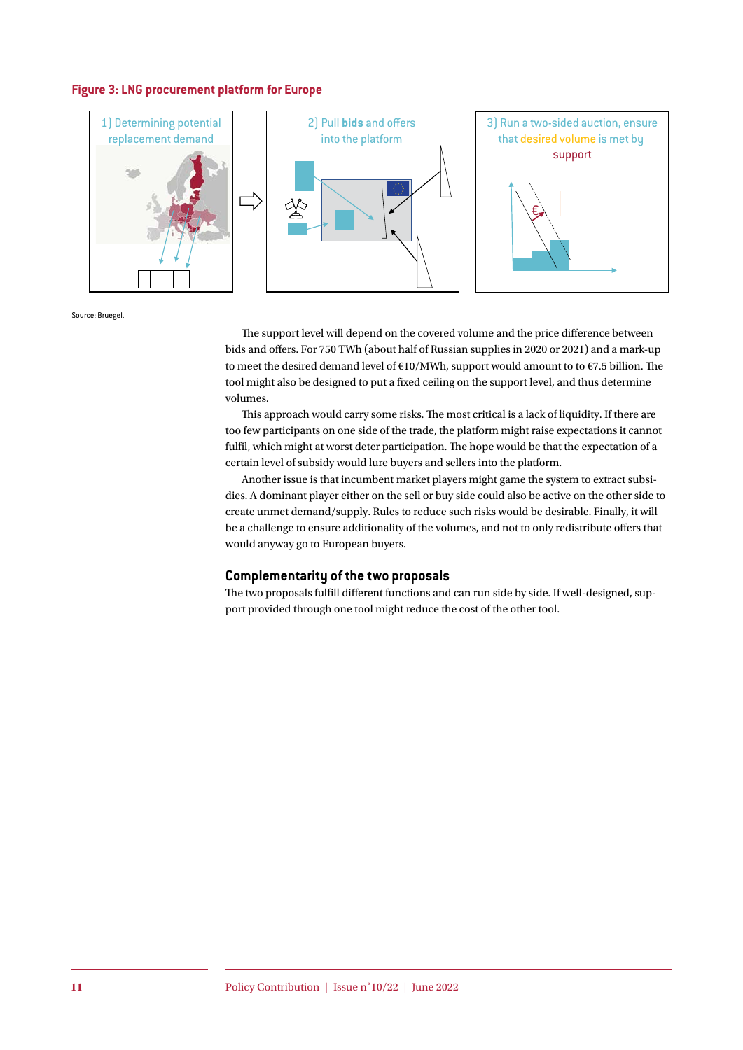#### **Figure 3: LNG procurement platform for Europe**



Source: Bruegel.

The support level will depend on the covered volume and the price difference between bids and offers. For 750 TWh (about half of Russian supplies in 2020 or 2021) and a mark-up to meet the desired demand level of  $E10/MWh$ , support would amount to to  $E7.5$  billion. The tool might also be designed to put a fixed ceiling on the support level, and thus determine volumes.

This approach would carry some risks. The most critical is a lack of liquidity. If there are too few participants on one side of the trade, the platform might raise expectations it cannot fulfil, which might at worst deter participation. The hope would be that the expectation of a certain level of subsidy would lure buyers and sellers into the platform.

Another issue is that incumbent market players might game the system to extract subsidies. A dominant player either on the sell or buy side could also be active on the other side to create unmet demand/supply. Rules to reduce such risks would be desirable. Finally, it will be a challenge to ensure additionality of the volumes, and not to only redistribute offers that would anyway go to European buyers.

#### **Complementarity of the two proposals**

The two proposals fulfill different functions and can run side by side. If well-designed, support provided through one tool might reduce the cost of the other tool.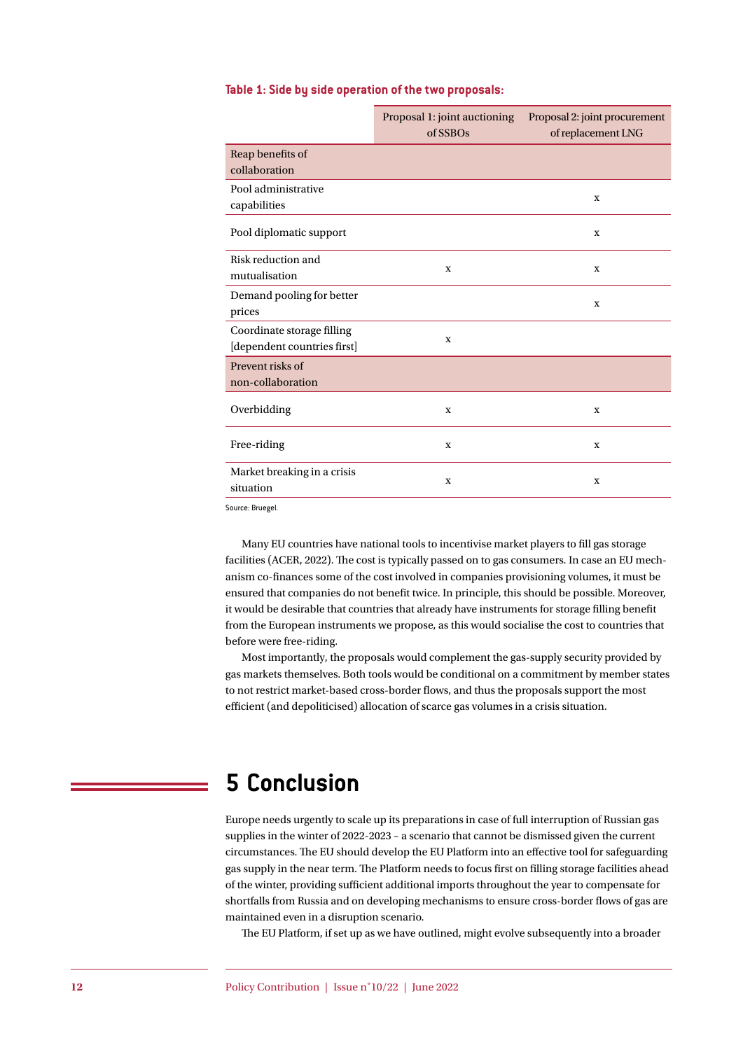#### **Table 1: Side by side operation of the two proposals:**

|                                                           | Proposal 1: joint auctioning<br>of SSBOs | Proposal 2: joint procurement<br>of replacement LNG |
|-----------------------------------------------------------|------------------------------------------|-----------------------------------------------------|
| Reap benefits of<br>collaboration                         |                                          |                                                     |
| Pool administrative<br>capabilities                       |                                          | X                                                   |
| Pool diplomatic support                                   |                                          | X                                                   |
| Risk reduction and<br>mutualisation                       | $\mathbf X$                              | X                                                   |
| Demand pooling for better<br>prices                       |                                          | $\mathbf X$                                         |
| Coordinate storage filling<br>[dependent countries first] | $\mathbf x$                              |                                                     |
| Prevent risks of<br>non-collaboration                     |                                          |                                                     |
| Overbidding                                               | $\mathbf X$                              | X                                                   |
| Free-riding                                               | $\mathbf x$                              | X                                                   |
| Market breaking in a crisis<br>situation                  | $\mathbf x$                              | X                                                   |

Source: Bruegel.

Many EU countries have national tools to incentivise market players to fill gas storage facilities (ACER, 2022). The cost is typically passed on to gas consumers. In case an EU mechanism co-finances some of the cost involved in companies provisioning volumes, it must be ensured that companies do not benefit twice. In principle, this should be possible. Moreover, it would be desirable that countries that already have instruments for storage filling benefit from the European instruments we propose, as this would socialise the cost to countries that before were free-riding.

Most importantly, the proposals would complement the gas-supply security provided by gas markets themselves. Both tools would be conditional on a commitment by member states to not restrict market-based cross-border flows, and thus the proposals support the most efficient (and depoliticised) allocation of scarce gas volumes in a crisis situation.

# **5 Conclusion**

Europe needs urgently to scale up its preparations in case of full interruption of Russian gas supplies in the winter of 2022-2023 – a scenario that cannot be dismissed given the current circumstances. The EU should develop the EU Platform into an effective tool for safeguarding gas supply in the near term. The Platform needs to focus first on filling storage facilities ahead of the winter, providing sufficient additional imports throughout the year to compensate for shortfalls from Russia and on developing mechanisms to ensure cross-border flows of gas are maintained even in a disruption scenario.

The EU Platform, if set up as we have outlined, might evolve subsequently into a broader